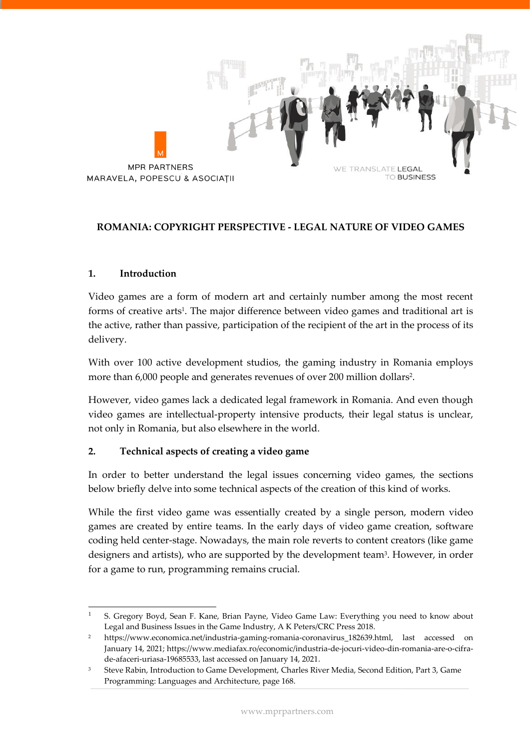

#### **ROMANIA: COPYRIGHT PERSPECTIVE - LEGAL NATURE OF VIDEO GAMES**

#### **1. Introduction**

Video games are a form of modern art and certainly number among the most recent forms of creative arts<sup>1</sup>. The major difference between video games and traditional art is the active, rather than passive, participation of the recipient of the art in the process of its delivery.

With over 100 active development studios, the gaming industry in Romania employs more than 6,000 people and generates revenues of over 200 million dollars<sup>2</sup> .

However, video games lack a dedicated legal framework in Romania. And even though video games are intellectual-property intensive products, their legal status is unclear, not only in Romania, but also elsewhere in the world.

#### **2. Technical aspects of creating a video game**

In order to better understand the legal issues concerning video games, the sections below briefly delve into some technical aspects of the creation of this kind of works.

While the first video game was essentially created by a single person, modern video games are created by entire teams. In the early days of video game creation, software coding held center-stage. Nowadays, the main role reverts to content creators (like game designers and artists), who are supported by the development team<sup>3</sup>. However, in order for a game to run, programming remains crucial.

<sup>1</sup> S. Gregory Boyd, Sean F. Kane, Brian Payne, Video Game Law: Everything you need to know about Legal and Business Issues in the Game Industry, A K Peters/CRC Press 2018.

<sup>2</sup> [https://www.economica.net/industria-gaming-romania-coronavirus\\_182639.html,](https://www.economica.net/industria-gaming-romania-coronavirus_182639.html) last accessed on January 14, 2021; [https://www.mediafax.ro/economic/industria-de-jocuri-video-din-romania-are-o-cifra](https://www.mediafax.ro/economic/industria-de-jocuri-video-din-romania-are-o-cifra-de-afaceri-uriasa-19685533)[de-afaceri-uriasa-19685533,](https://www.mediafax.ro/economic/industria-de-jocuri-video-din-romania-are-o-cifra-de-afaceri-uriasa-19685533) last accessed on January 14, 2021.

<sup>3</sup> Steve Rabin, Introduction to Game Development, Charles River Media, Second Edition, Part 3, Game Programming: Languages and Architecture, page 168.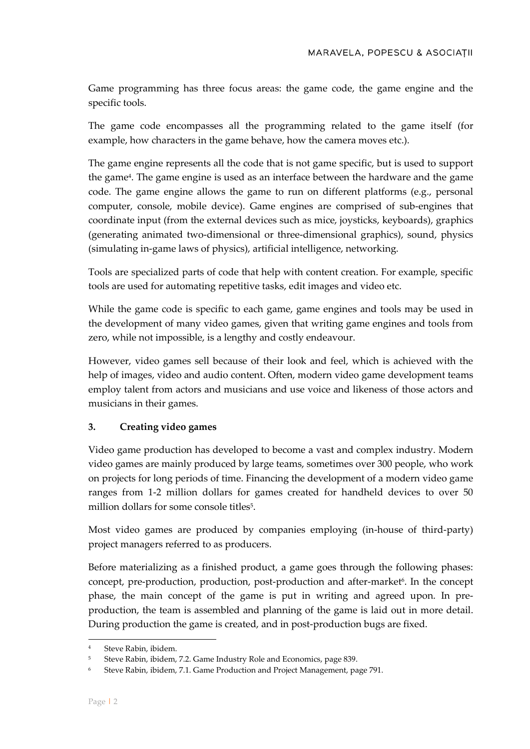Game programming has three focus areas: the game code, the game engine and the specific tools.

The game code encompasses all the programming related to the game itself (for example, how characters in the game behave, how the camera moves etc.).

The game engine represents all the code that is not game specific, but is used to support the game<sup>4</sup>. The game engine is used as an interface between the hardware and the game code. The game engine allows the game to run on different platforms (e.g., personal computer, console, mobile device). Game engines are comprised of sub-engines that coordinate input (from the external devices such as mice, joysticks, keyboards), graphics (generating animated two-dimensional or three-dimensional graphics), sound, physics (simulating in-game laws of physics), artificial intelligence, networking.

Tools are specialized parts of code that help with content creation. For example, specific tools are used for automating repetitive tasks, edit images and video etc.

While the game code is specific to each game, game engines and tools may be used in the development of many video games, given that writing game engines and tools from zero, while not impossible, is a lengthy and costly endeavour.

However, video games sell because of their look and feel, which is achieved with the help of images, video and audio content. Often, modern video game development teams employ talent from actors and musicians and use voice and likeness of those actors and musicians in their games.

# **3. Creating video games**

Video game production has developed to become a vast and complex industry. Modern video games are mainly produced by large teams, sometimes over 300 people, who work on projects for long periods of time. Financing the development of a modern video game ranges from 1-2 million dollars for games created for handheld devices to over 50 million dollars for some console titles<sup>5</sup>.

Most video games are produced by companies employing (in-house of third-party) project managers referred to as producers.

Before materializing as a finished product, a game goes through the following phases: concept, pre-production, production, post-production and after-market<sup>6</sup>. In the concept phase, the main concept of the game is put in writing and agreed upon. In preproduction, the team is assembled and planning of the game is laid out in more detail. During production the game is created, and in post-production bugs are fixed.

Steve Rabin, ibidem.

<sup>5</sup> Steve Rabin, ibidem, 7.2. Game Industry Role and Economics, page 839.

<sup>6</sup> Steve Rabin, ibidem, 7.1. Game Production and Project Management, page 791.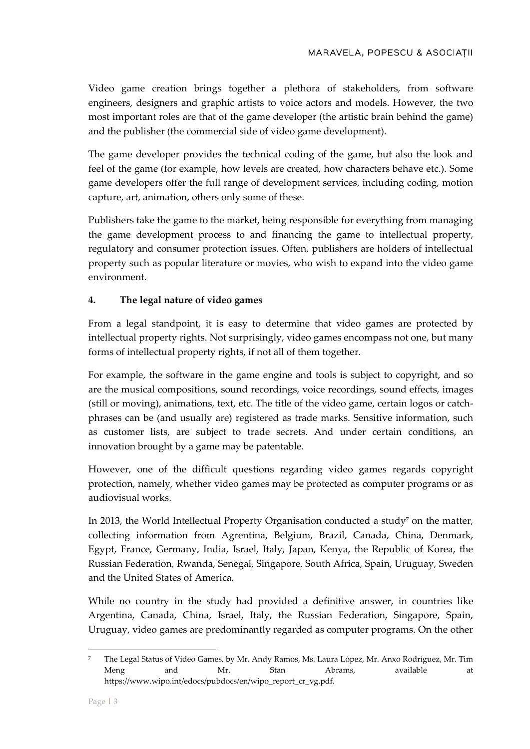Video game creation brings together a plethora of stakeholders, from software engineers, designers and graphic artists to voice actors and models. However, the two most important roles are that of the game developer (the artistic brain behind the game) and the publisher (the commercial side of video game development).

The game developer provides the technical coding of the game, but also the look and feel of the game (for example, how levels are created, how characters behave etc.). Some game developers offer the full range of development services, including coding, motion capture, art, animation, others only some of these.

Publishers take the game to the market, being responsible for everything from managing the game development process to and financing the game to intellectual property, regulatory and consumer protection issues. Often, publishers are holders of intellectual property such as popular literature or movies, who wish to expand into the video game environment.

# **4. The legal nature of video games**

From a legal standpoint, it is easy to determine that video games are protected by intellectual property rights. Not surprisingly, video games encompass not one, but many forms of intellectual property rights, if not all of them together.

For example, the software in the game engine and tools is subject to copyright, and so are the musical compositions, sound recordings, voice recordings, sound effects, images (still or moving), animations, text, etc. The title of the video game, certain logos or catchphrases can be (and usually are) registered as trade marks. Sensitive information, such as customer lists, are subject to trade secrets. And under certain conditions, an innovation brought by a game may be patentable.

However, one of the difficult questions regarding video games regards copyright protection, namely, whether video games may be protected as computer programs or as audiovisual works.

In 2013, the World Intellectual Property Organisation conducted a study<sup>7</sup> on the matter, collecting information from Agrentina, Belgium, Brazil, Canada, China, Denmark, Egypt, France, Germany, India, Israel, Italy, Japan, Kenya, the Republic of Korea, the Russian Federation, Rwanda, Senegal, Singapore, South Africa, Spain, Uruguay, Sweden and the United States of America.

While no country in the study had provided a definitive answer, in countries like Argentina, Canada, China, Israel, Italy, the Russian Federation, Singapore, Spain, Uruguay, video games are predominantly regarded as computer programs. On the other

<sup>7</sup> The Legal Status of Video Games, by Mr. Andy Ramos, Ms. Laura López, Mr. Anxo Rodríguez, Mr. Tim Meng and Mr. Stan Abrams, available at https://www.wipo.int/edocs/pubdocs/en/wipo\_report\_cr\_vg.pdf.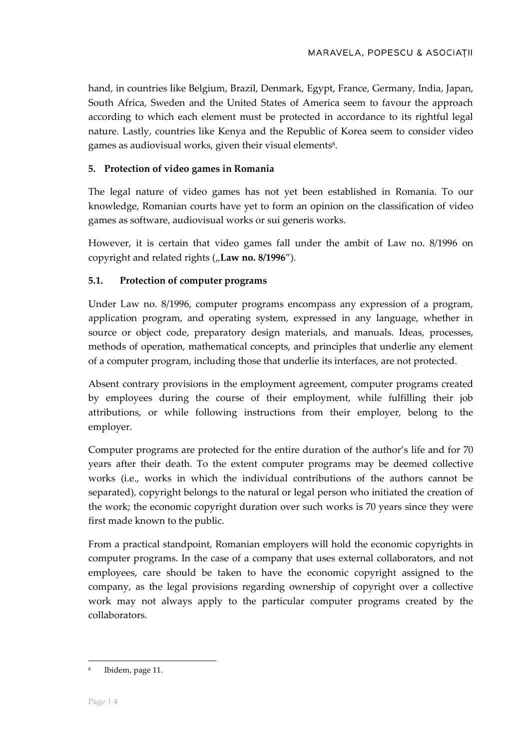hand, in countries like Belgium, Brazil, Denmark, Egypt, France, Germany, India, Japan, South Africa, Sweden and the United States of America seem to favour the approach according to which each element must be protected in accordance to its rightful legal nature. Lastly, countries like Kenya and the Republic of Korea seem to consider video games as audiovisual works, given their visual elements $^{\rm 8}$ .

# **5. Protection of video games in Romania**

The legal nature of video games has not yet been established in Romania. To our knowledge, Romanian courts have yet to form an opinion on the classification of video games as software, audiovisual works or sui generis works.

However, it is certain that video games fall under the ambit of Law no. 8/1996 on copyright and related rights ("Law no. 8/1996").

# **5.1. Protection of computer programs**

Under Law no. 8/1996, computer programs encompass any expression of a program, application program, and operating system, expressed in any language, whether in source or object code, preparatory design materials, and manuals. Ideas, processes, methods of operation, mathematical concepts, and principles that underlie any element of a computer program, including those that underlie its interfaces, are not protected.

Absent contrary provisions in the employment agreement, computer programs created by employees during the course of their employment, while fulfilling their job attributions, or while following instructions from their employer, belong to the employer.

Computer programs are protected for the entire duration of the author's life and for 70 years after their death. To the extent computer programs may be deemed collective works (i.e., works in which the individual contributions of the authors cannot be separated), copyright belongs to the natural or legal person who initiated the creation of the work; the economic copyright duration over such works is 70 years since they were first made known to the public.

From a practical standpoint, Romanian employers will hold the economic copyrights in computer programs. In the case of a company that uses external collaborators, and not employees, care should be taken to have the economic copyright assigned to the company, as the legal provisions regarding ownership of copyright over a collective work may not always apply to the particular computer programs created by the collaborators.

<sup>8</sup> Ibidem, page 11.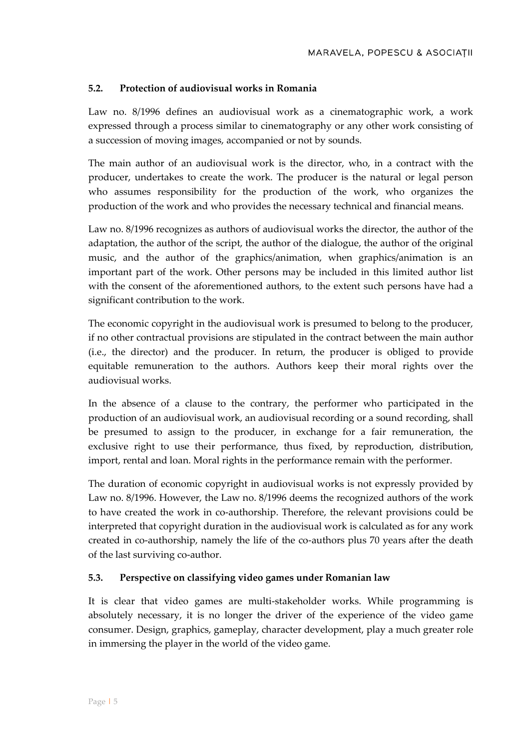# **5.2. Protection of audiovisual works in Romania**

Law no. 8/1996 defines an audiovisual work as a cinematographic work, a work expressed through a process similar to cinematography or any other work consisting of a succession of moving images, accompanied or not by sounds.

The main author of an audiovisual work is the director, who, in a contract with the producer, undertakes to create the work. The producer is the natural or legal person who assumes responsibility for the production of the work, who organizes the production of the work and who provides the necessary technical and financial means.

Law no. 8/1996 recognizes as authors of audiovisual works the director, the author of the adaptation, the author of the script, the author of the dialogue, the author of the original music, and the author of the graphics/animation, when graphics/animation is an important part of the work. Other persons may be included in this limited author list with the consent of the aforementioned authors, to the extent such persons have had a significant contribution to the work.

The economic copyright in the audiovisual work is presumed to belong to the producer, if no other contractual provisions are stipulated in the contract between the main author (i.e., the director) and the producer. In return, the producer is obliged to provide equitable remuneration to the authors. Authors keep their moral rights over the audiovisual works.

In the absence of a clause to the contrary, the performer who participated in the production of an audiovisual work, an audiovisual recording or a sound recording, shall be presumed to assign to the producer, in exchange for a fair remuneration, the exclusive right to use their performance, thus fixed, by reproduction, distribution, import, rental and loan. Moral rights in the performance remain with the performer.

The duration of economic copyright in audiovisual works is not expressly provided by Law no. 8/1996. However, the Law no. 8/1996 deems the recognized authors of the work to have created the work in co-authorship. Therefore, the relevant provisions could be interpreted that copyright duration in the audiovisual work is calculated as for any work created in co-authorship, namely the life of the co-authors plus 70 years after the death of the last surviving co-author.

# **5.3. Perspective on classifying video games under Romanian law**

It is clear that video games are multi-stakeholder works. While programming is absolutely necessary, it is no longer the driver of the experience of the video game consumer. Design, graphics, gameplay, character development, play a much greater role in immersing the player in the world of the video game.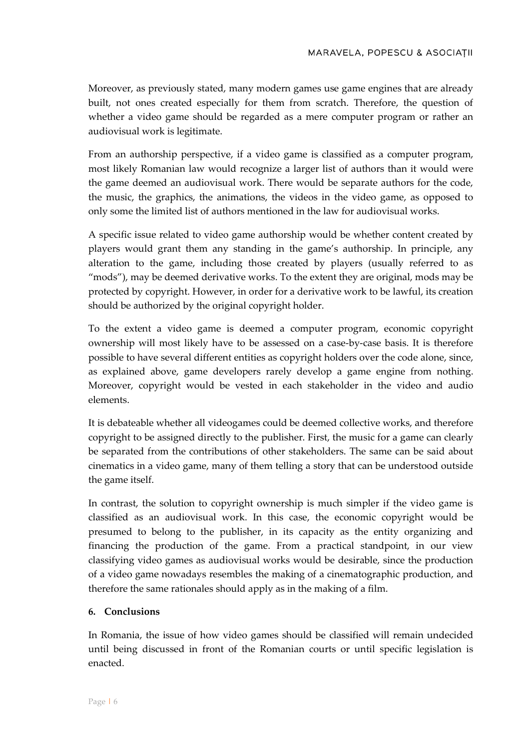Moreover, as previously stated, many modern games use game engines that are already built, not ones created especially for them from scratch. Therefore, the question of whether a video game should be regarded as a mere computer program or rather an audiovisual work is legitimate.

From an authorship perspective, if a video game is classified as a computer program, most likely Romanian law would recognize a larger list of authors than it would were the game deemed an audiovisual work. There would be separate authors for the code, the music, the graphics, the animations, the videos in the video game, as opposed to only some the limited list of authors mentioned in the law for audiovisual works.

A specific issue related to video game authorship would be whether content created by players would grant them any standing in the game's authorship. In principle, any alteration to the game, including those created by players (usually referred to as "mods"), may be deemed derivative works. To the extent they are original, mods may be protected by copyright. However, in order for a derivative work to be lawful, its creation should be authorized by the original copyright holder.

To the extent a video game is deemed a computer program, economic copyright ownership will most likely have to be assessed on a case-by-case basis. It is therefore possible to have several different entities as copyright holders over the code alone, since, as explained above, game developers rarely develop a game engine from nothing. Moreover, copyright would be vested in each stakeholder in the video and audio elements.

It is debateable whether all videogames could be deemed collective works, and therefore copyright to be assigned directly to the publisher. First, the music for a game can clearly be separated from the contributions of other stakeholders. The same can be said about cinematics in a video game, many of them telling a story that can be understood outside the game itself.

In contrast, the solution to copyright ownership is much simpler if the video game is classified as an audiovisual work. In this case, the economic copyright would be presumed to belong to the publisher, in its capacity as the entity organizing and financing the production of the game. From a practical standpoint, in our view classifying video games as audiovisual works would be desirable, since the production of a video game nowadays resembles the making of a cinematographic production, and therefore the same rationales should apply as in the making of a film.

# **6. Conclusions**

In Romania, the issue of how video games should be classified will remain undecided until being discussed in front of the Romanian courts or until specific legislation is enacted.